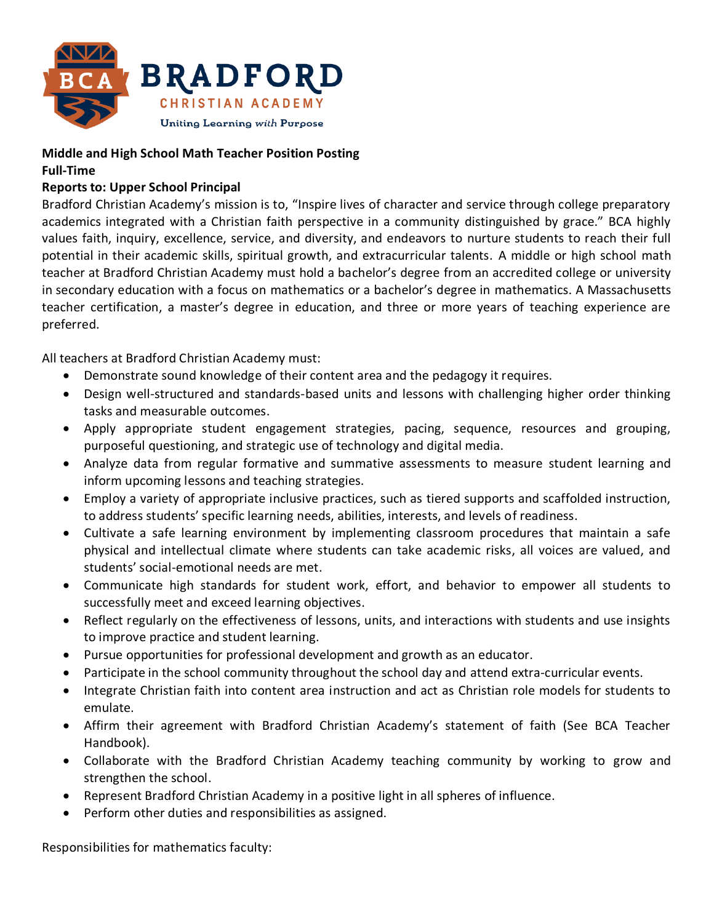

## **Middle and High School Math Teacher Position Posting**

## **Full-Time**

## **Reports to: Upper School Principal**

Bradford Christian Academy's mission is to, "Inspire lives of character and service through college preparatory academics integrated with a Christian faith perspective in a community distinguished by grace." BCA highly values faith, inquiry, excellence, service, and diversity, and endeavors to nurture students to reach their full potential in their academic skills, spiritual growth, and extracurricular talents. A middle or high school math teacher at Bradford Christian Academy must hold a bachelor's degree from an accredited college or university in secondary education with a focus on mathematics or a bachelor's degree in mathematics. A Massachusetts teacher certification, a master's degree in education, and three or more years of teaching experience are preferred.

All teachers at Bradford Christian Academy must:

- Demonstrate sound knowledge of their content area and the pedagogy it requires.
- Design well-structured and standards-based units and lessons with challenging higher order thinking tasks and measurable outcomes.
- Apply appropriate student engagement strategies, pacing, sequence, resources and grouping, purposeful questioning, and strategic use of technology and digital media.
- Analyze data from regular formative and summative assessments to measure student learning and inform upcoming lessons and teaching strategies.
- Employ a variety of appropriate inclusive practices, such as tiered supports and scaffolded instruction, to address students' specific learning needs, abilities, interests, and levels of readiness.
- Cultivate a safe learning environment by implementing classroom procedures that maintain a safe physical and intellectual climate where students can take academic risks, all voices are valued, and students' social-emotional needs are met.
- Communicate high standards for student work, effort, and behavior to empower all students to successfully meet and exceed learning objectives.
- Reflect regularly on the effectiveness of lessons, units, and interactions with students and use insights to improve practice and student learning.
- Pursue opportunities for professional development and growth as an educator.
- Participate in the school community throughout the school day and attend extra-curricular events.
- Integrate Christian faith into content area instruction and act as Christian role models for students to emulate.
- Affirm their agreement with Bradford Christian Academy's statement of faith (See BCA Teacher Handbook).
- Collaborate with the Bradford Christian Academy teaching community by working to grow and strengthen the school.
- Represent Bradford Christian Academy in a positive light in all spheres of influence.
- Perform other duties and responsibilities as assigned.

Responsibilities for mathematics faculty: